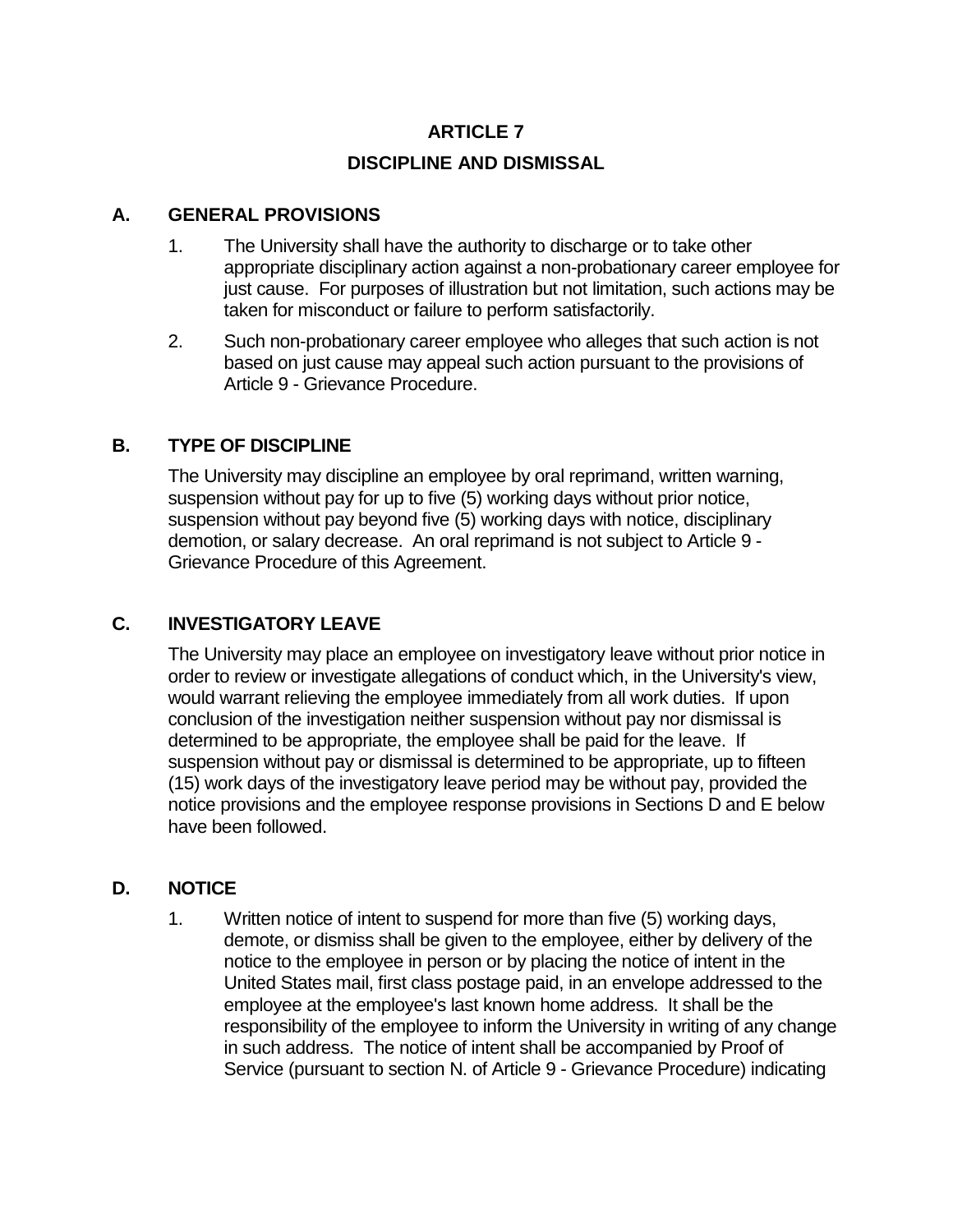# **ARTICLE 7 DISCIPLINE AND DISMISSAL**

#### **A. GENERAL PROVISIONS**

- 1. The University shall have the authority to discharge or to take other appropriate disciplinary action against a non-probationary career employee for just cause. For purposes of illustration but not limitation, such actions may be taken for misconduct or failure to perform satisfactorily.
- 2. Such non-probationary career employee who alleges that such action is not based on just cause may appeal such action pursuant to the provisions of Article 9 - Grievance Procedure.

## **B. TYPE OF DISCIPLINE**

The University may discipline an employee by oral reprimand, written warning, suspension without pay for up to five (5) working days without prior notice, suspension without pay beyond five (5) working days with notice, disciplinary demotion, or salary decrease. An oral reprimand is not subject to Article 9 - Grievance Procedure of this Agreement.

## **C. INVESTIGATORY LEAVE**

The University may place an employee on investigatory leave without prior notice in order to review or investigate allegations of conduct which, in the University's view, would warrant relieving the employee immediately from all work duties. If upon conclusion of the investigation neither suspension without pay nor dismissal is determined to be appropriate, the employee shall be paid for the leave. If suspension without pay or dismissal is determined to be appropriate, up to fifteen (15) work days of the investigatory leave period may be without pay, provided the notice provisions and the employee response provisions in Sections D and E below have been followed.

#### **D. NOTICE**

1. Written notice of intent to suspend for more than five (5) working days, demote, or dismiss shall be given to the employee, either by delivery of the notice to the employee in person or by placing the notice of intent in the United States mail, first class postage paid, in an envelope addressed to the employee at the employee's last known home address. It shall be the responsibility of the employee to inform the University in writing of any change in such address. The notice of intent shall be accompanied by Proof of Service (pursuant to section N. of Article 9 - Grievance Procedure) indicating